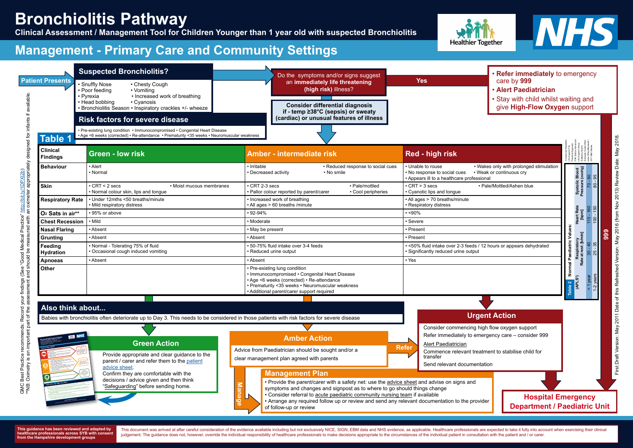**Manage**

**Refer**

decisions / advice given and then think "Safeguarding" before sending home.

**This guidance is written by the model of the ISO (1995) and the company of the Ampshire, and the Isle of Wight**<br>Cold the United States Hampshire, Dorset and the United States Hampshire, Dorset and Tabes and Isla of Wight, **www.what0-18.nhs.u<sup>k</sup>**

**IF CAST I BOOK as feed as not feed smaller smaller feeding as not feeding as one feeding as not feed as not feed<br>The contract small of the smaller smaller feeding as not feed as not feed as a small problem of the small sm** CHILD LOOK SING WITH BROAD AND WITH BROWN IS CONTINUES. The may have some signs of distress and distress and d<br>Children with bronchiolitis may have some signs of distress and discomfort. You may use to give to give either<br> **Paracetamol or liquid Ibu relief or liquid Ibus some religions (Paracetamol can be given from 2 months or liqu<br>Paracetamol or liquid Ibus paracetamol can given from 2 months of agency and can be given from 2 months or age** Please will consider the instructions of the medicine container.<br>Please read of the instructions on the medicine container.<br>Please read and please the medicine container. Please visitor ince child is already taking the special with when you completed the complete specific to the first Ladical Va<br>International School Carry on using the specific to the specific sound in the specification of young the specif get your construction with the media of the media of street your Pharmacist, Health Visitor or GP. A virus so<br>The media of the media the media of the media of the media of the media of the street or GP. The media of a viru

Make sure your child in the process we could be a smoke.<br>Make sure your child is not exposed to the passive smoke. Passive smoking can seriously damage your child<br>Make smoke. Passive smoking can seriously damage your child healthca with the credit is the problems like bronchiolities worse.<br>Health gives breathing problems like bronchiolities worse.<br>Health symbolities breathing problems work and the credit Remember smoke the model of your clothes even if you smoke outside.<br>Refer to these the advances on your clothes even if you smoke outside.<br>Remember smoke the close of your clothes even if you smoke outside. If you would like help to give up smoking you can get information / advice from your local GP surgery or by<br>Inter to make help to give up so give up smoking you can get information / advice from your local GP surgery o<br>Int calling the National Stop Smoking Helpline Tel: 0800 169 0 169 from 7am to 11pm every day.<br>called Helpline Tel: 0800 169 from 7am to 11pm every day.<br>called the National Stop Smoking Helpline Tel: 0800 169 0 169 from 7am to

**How can I look after my child?**

**GREEN**

This document was arrived at after careful consideration of the evidence available including but not exclusively NICE, SIGN, EBM data and NHS evidence, as applicable. Healthcare professionals are expected to take it fully judgement. The guidance does not, however, override the individual responsibility of healthcare professionals to make decisions appropriate to the circumstances of the individual patient in consultation with the patient an



- **Refer immediately** to emergency care by **999**
- **Alert Paediatrician**
- Stay with child whilst waiting and give **High-Flow Oxygen** support

**antibiotics will not help.**

**Suspected Bronchiolitis? Patient Presents** • Snuffly Nose • Chesty Cough<br>• Poor feeding • Vomiting • Poor feeding<br>• Pyrexia \*\*NB: Oximetry is an important part of the assessment and should be measured with an oximeter appropriately designed for infants if available. available • Increased work of breathing<br>• Cyanosis • Head bobbing • Bronchiolitis Season • Inspiratory crackles +/- wheeze Medical Practice" http://bit.ly/1DPX(2b)<br>e measured with an oximeter appropriately designed for infants if f **Risk factors for severe disease** • Pre-existing lung condition • Immunocompromised • Congenital Heart Disease • Age <6 weeks (corrected) • Re-attendance • Prematurity <35 weeks • Neuromuscular weakness**Table 1 Clinical Findings Behaviour •** Alert GMC Best Practice recommends: Record your findings (See "Good Medical Practice" [http://bit.ly/1DPXl2b](http://www.gmc-uk.org/guidance/good_medical_practice/record_work.asp)) • Normal **Skin** • CRT < 2 secs • Moist mucous membranes • Normal colour skin, lips and tongue **Respiratory Rate** • Mild respiratory distress **Feeding** • Normal - Tolerating 75% of fluid GMC Best Practice recommends: Record your findings (See "Good M<br>\*\*NB: Oximetry is an important part of the assessment and should be **Hydration** • Occasional cough induced vomiting **Also think about... Bronchiolitis Advice Sheet Bronchiolities** in *infection*<br>(a cause of persistent cough, mild fever and feeding difficulties in infants) **Green Action** a carere of parents and carers of children<br>and feeding generits and carers of children younger than 1 year old<br>younger than 1 year old **How is your child? You need urgent**  Advice from Paediatrician should be sought and/or a go to the nearest If your child has any of the following: Hospital Emergency Has pauses in the breathing (appointed or has an irregular<br>Has brus 1994<br>Has pauses in their breathing (approximative class brackets) Has **Due** lips (A&E) Department or Provide appropriate and clear guidance to the Personally pale, motived and feels abnormally cold to touch<br>Becomes pale, motived and feels abnormally cold to touch<br>Becomes pale, motived and means phone 999 Becomes piles, mogens and piece agent or very lethargic<br>Becomes piles, mogens and piece or very lethargic<br>Recomes subscribe aggregated breathing pattern clear management plan agreed with parents (difficult to wake) **RED** parent / carer and refer them to the [patient](http://www.what0-18.nhs.uk/health-professionals/primary-care-staff/safety-netting-parents/bronchiolitis/)  If your child has any of the following: Has laboured by direct bare are working to the top of the second to the property or the second to the second to the second to the second to the second to the second to the second to the second to the second to the second t **You need to contact a**  breath Called Hotel and Called Called the Muscles below the Muscles below the muscles below the muscles below the muscles below the muscles below the muscles below the muscles below the muscles below the muscles below the **doctor or nurse today** See land, dry mouth, sunken eyes, no tears, drowsy or<br>See mouth, dry tears, no tears, no tears, drows, no tears, drowsy or<br>Sulting definity description (drow) **Chease ring your** their new or between the ribs.<br>The ribox of between the ribs. GP surgery or call  $N + 6 + 11 - 6 + 11$ passing less urine than usual) Is under 3 months of a temperature above 38°C /100.4°F<br>Is under 3 months of a temperature above 38°C / 100.<sup>2°FF</sup><br>Is under 3 months of a temperature above 38°C / 100.<sup>2°FF</sup><br>Is under 3 months on with a temperature above 38° Is becoming drowsy (excessively sleepy)  $\alpha$  3-6 months of age with a temperature above 39°C / 102.2°F<br>6 months of age with a temperature above 39°C / 102.2°F<br>6 months of age with a temperature above 39°C / 102.2°FF [advice sheet](https://sybhealthiertogether.nhs.uk/professionals/gp-primary-care-staff/safety-netting-documents-parents/bronchiolitis). (but fever is commonly a part is completely 2 days after they<br>be 2 d collective up to be with a change of 2 days after they See also an description work or if you are world.<br>Walked approaching works or if you are world. receive vaccinations) Confirm they are comfortable with the Using the advice below you can look If none of the features in the red or amber boxes above are present. *after your child* 

**Amber Action**

## **Bronchiolitis Pathway**

**Clinical Assessment / Management Tool for Children Younger than 1 year old with suspected Bronchiolitis**

#### **Management Plan**

• Provide the parent/carer with a safety net: use the [advice sheet](https://sybhealthiertogether.nhs.uk/professionals/gp-primary-care-staff/safety-netting-documents-parents/bronchiolitis) and advise on signs and symptoms and changes and signpost as to where to go should things change

• Consider referral to acute paediatric community nursing team if available

• Arrange any required follow up or review and send any relevant documentation to the provider of follow-up or review

Babies with bronchiolitis often deteriorate up to Day 3. This needs to be considered in those patients with risk factors for severe disease



Do the symptoms and/or signs suggest

### **Management - Primary Care and Community Settings**



#### **Yes** an **immediately life threatening (high risk)** illness? **Consider differential diagnosis if - temp ≥38°C (sepsis) or sweaty (cardiac) or unusual features of illness Green - low risk Amber - intermediate risk Red - high risk** • Irritable • Reduced response to social cues • Decreased activity • No smile • Appears ill to a healthcare professional • CRT 2-3 secs • Pale/mottled • Pallor colour reported by parent/carer • Cyanotic lips and tongue

**This guidance has been reviewed and adapted by healthcare professionals across SYB with consent from the Hampshire development groups**

Alert Paediatrician transfer

Send relevant documentation

|                              | $\frac{1}{2}$                                                             | and colour reported by parolle carer<br>ooo: ponphonoo                                                                                                                                                                          | $\sim$ , and the mpc and tengal                                                 |
|------------------------------|---------------------------------------------------------------------------|---------------------------------------------------------------------------------------------------------------------------------------------------------------------------------------------------------------------------------|---------------------------------------------------------------------------------|
| <b>Respiratory Rate</b>      | • Under 12mths <50 breaths/minute<br>• Mild respiratory distress          | • Increased work of breathing<br>• All ages > 60 breaths / minute                                                                                                                                                               | • All ages > 70 breaths/minute<br>• Respiratory distress                        |
| O <sub>2</sub> Sats in air** | •95% or above                                                             | $\cdot$ 92-94%                                                                                                                                                                                                                  | $\cdot$ <90%                                                                    |
| <b>Chest Recession</b>       | • Mild                                                                    | • Moderate                                                                                                                                                                                                                      | • Severe                                                                        |
| Nasal Flaring                | • Absent                                                                  | • May be present                                                                                                                                                                                                                | • Present                                                                       |
| Grunting                     | • Absent                                                                  | • Absent                                                                                                                                                                                                                        | • Present                                                                       |
| Feeding<br><b>Hydration</b>  | • Normal - Tolerating 75% of fluid<br>• Occasional cough induced vomiting | • 50-75% fluid intake over 3-4 feeds<br>• Reduced urine output                                                                                                                                                                  | • <50% fluid intake over 2-3 feeds / 12<br>• Significantly reduced urine output |
| Apnoeas                      | • Absent                                                                  | • Absent                                                                                                                                                                                                                        | $\cdot$ Yes                                                                     |
| Other                        |                                                                           | • Pre-existing lung condition<br>• Immunocompromised • Congenital Heart Disease<br>• Age <6 weeks (corrected) • Re-attendance<br>• Prematurity <35 weeks • Neuromuscular weakness<br>• Additional parent/carer support required |                                                                                 |